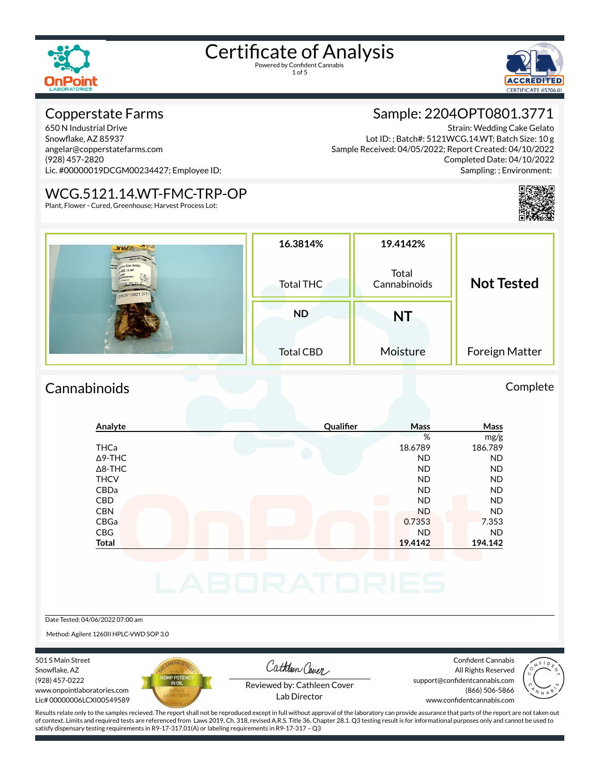

1 of 5



#### Copperstate Farms

650 N Industrial Drive Snowflake, AZ 85937 angelar@copperstatefarms.com (928) 457-2820 Lic. #00000019DCGM00234427; Employee ID:

#### WCG.5121.14.WT-FMC-TRP-OP

Plant, Flower - Cured, Greenhouse; Harvest Process Lot:

#### Sample: 2204OPT0801.3771

Strain: Wedding Cake Gelato Lot ID: ; Batch#: 5121WCG.14.WT; Batch Size: 10 g Sample Received: 04/05/2022; Report Created: 04/10/2022 Completed Date: 04/10/2022 Sampling: ; Environment:



| . NHd Carme Change<br>2040PT0801.3771 | 16.3814%<br>Total THC | 19.4142%<br>Total<br>Cannabinoids | <b>Not Tested</b> |  |
|---------------------------------------|-----------------------|-----------------------------------|-------------------|--|
|                                       | <b>ND</b>             | <b>NT</b>                         |                   |  |
|                                       | <b>Total CBD</b>      | Moisture                          | Foreign Matter    |  |

#### Cannabinoids Complete

#### **Analyte Qualier Mass Mass** % mg/g THCa 18.6789 186.789 Δ9-THC ND ND Δ8-THC ND ND THCV ND ND CBDa ND ND CBD A RESIDENCE OF A RESIDENCE OF A RESIDENCE OF A RESIDENCE OF A RESIDENCE OF A RESIDENCE OF A RESIDENCE OF A CBN ND ND CBGa 0.7353 7.353 CBG ND ND **Total 19.4142 194.142**

#### Date Tested: 04/06/2022 07:00 am

Method: Agilent 1260II HPLC-VWD SOP 3.0

501 S Main Street Snowflake, AZ (928) 457-0222 www.onpointlaboratories.com Lic# 00000006LCXI00549589



Cathleen Cover

Confident Cannabis All Rights Reserved support@confidentcannabis.com (866) 506-5866



Reviewed by: Cathleen Cover Lab Director

www.confidentcannabis.com

Results relate only to the samples recieved. The report shall not be reproduced except in full without approval of the laboratory can provide assurance that parts of the report are not taken out of context. Limits and required tests are referenced from Laws 2019, Ch. 318, revised A.R.S. Title 36, Chapter 28.1. Q3 testing result is for informational purposes only and cannot be used to satisfy dispensary testing requirements in R9-17-317.01(A) or labeling requirements in R9-17-317 – Q3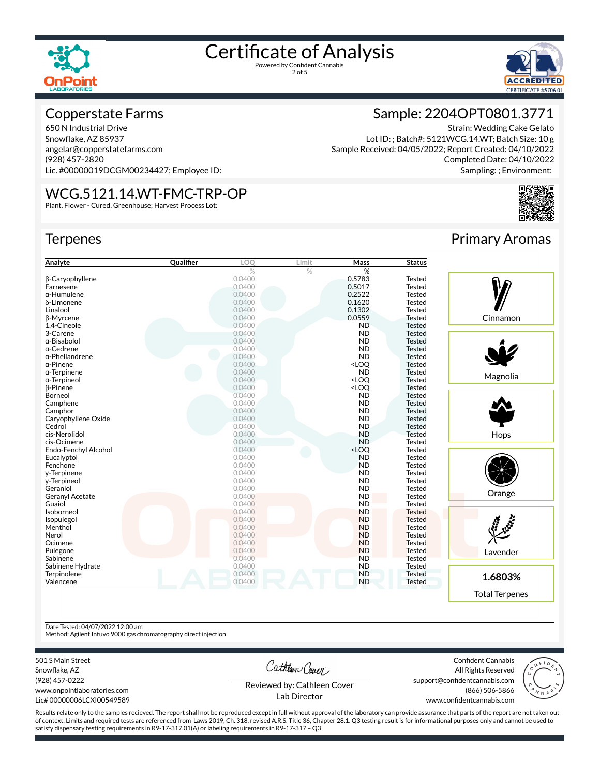



#### Copperstate Farms

650 N Industrial Drive Snowflake, AZ 85937 angelar@copperstatefarms.com (928) 457-2820 Lic. #00000019DCGM00234427; Employee ID:

#### WCG.5121.14.WT-FMC-TRP-OP

Plant, Flower - Cured, Greenhouse; Harvest Process Lot:

#### **Terpenes**

| Analyte                | Qualifier | LOQ    | Limit | Mass                                      | <b>Status</b> |
|------------------------|-----------|--------|-------|-------------------------------------------|---------------|
|                        |           | %      | $\%$  | %                                         |               |
| <b>B-Caryophyllene</b> |           | 0.0400 |       | 0.5783                                    | <b>Tested</b> |
| Farnesene              |           | 0.0400 |       | 0.5017                                    | <b>Tested</b> |
| $\alpha$ -Humulene     |           | 0.0400 |       | 0.2522                                    | <b>Tested</b> |
| δ-Limonene             |           | 0.0400 |       | 0.1620                                    | <b>Tested</b> |
| Linalool               |           | 0.0400 |       | 0.1302                                    | <b>Tested</b> |
| β-Myrcene              |           | 0.0400 |       | 0.0559                                    | <b>Tested</b> |
| 1,4-Cineole            |           | 0.0400 |       | <b>ND</b>                                 | <b>Tested</b> |
| 3-Carene               |           | 0.0400 |       | <b>ND</b>                                 | <b>Tested</b> |
| $\alpha$ -Bisabolol    |           | 0.0400 |       | <b>ND</b>                                 | <b>Tested</b> |
| $\alpha$ -Cedrene      |           | 0.0400 |       | <b>ND</b>                                 | <b>Tested</b> |
| $\alpha$ -Phellandrene |           | 0.0400 |       | <b>ND</b>                                 | <b>Tested</b> |
| $\alpha$ -Pinene       |           | 0.0400 |       | <loq< td=""><td><b>Tested</b></td></loq<> | <b>Tested</b> |
| $\alpha$ -Terpinene    |           | 0.0400 |       | <b>ND</b>                                 | <b>Tested</b> |
| $\alpha$ -Terpineol    |           | 0.0400 |       | <loq< td=""><td><b>Tested</b></td></loq<> | <b>Tested</b> |
| <b>B-Pinene</b>        |           | 0.0400 |       | <loq< td=""><td><b>Tested</b></td></loq<> | <b>Tested</b> |
| Borneol                |           | 0.0400 |       | <b>ND</b>                                 | <b>Tested</b> |
| Camphene               |           | 0.0400 |       | <b>ND</b>                                 | <b>Tested</b> |
| Camphor                |           | 0.0400 |       | <b>ND</b>                                 | <b>Tested</b> |
| Caryophyllene Oxide    |           | 0.0400 |       | <b>ND</b>                                 | <b>Tested</b> |
| Cedrol                 |           | 0.0400 |       | <b>ND</b>                                 | <b>Tested</b> |
| cis-Nerolidol          |           | 0.0400 |       | <b>ND</b>                                 | <b>Tested</b> |
| cis-Ocimene            |           | 0.0400 |       | <b>ND</b>                                 | <b>Tested</b> |
| Endo-Fenchyl Alcohol   |           | 0.0400 |       | <loq< td=""><td>Tested</td></loq<>        | Tested        |
| Eucalyptol             |           | 0.0400 |       | <b>ND</b>                                 | <b>Tested</b> |
| Fenchone               |           | 0.0400 |       | <b>ND</b>                                 | <b>Tested</b> |
| y-Terpinene            |           | 0.0400 |       | <b>ND</b>                                 | <b>Tested</b> |
| y-Terpineol            |           | 0.0400 |       | <b>ND</b>                                 | <b>Tested</b> |
| Geraniol               |           | 0.0400 |       | <b>ND</b>                                 | <b>Tested</b> |
| Geranyl Acetate        |           | 0.0400 |       | <b>ND</b>                                 | <b>Tested</b> |
| Guaiol                 |           | 0.0400 |       | <b>ND</b>                                 | <b>Tested</b> |
| Isoborneol             |           | 0.0400 |       | <b>ND</b>                                 | <b>Tested</b> |
| Isopulegol             |           | 0.0400 |       | <b>ND</b>                                 | <b>Tested</b> |
| Menthol                |           | 0.0400 |       | <b>ND</b>                                 | <b>Tested</b> |
| Nerol                  |           | 0.0400 |       | <b>ND</b>                                 | <b>Tested</b> |
| Ocimene                |           | 0.0400 |       | <b>ND</b>                                 | <b>Tested</b> |
| Pulegone               |           | 0.0400 |       | <b>ND</b>                                 | <b>Tested</b> |
| Sabinene               |           | 0.0400 |       | <b>ND</b>                                 | <b>Tested</b> |
| Sabinene Hydrate       |           | 0.0400 |       | <b>ND</b>                                 | <b>Tested</b> |
| Terpinolene            |           | 0.0400 |       | <b>ND</b>                                 | <b>Tested</b> |
| Valencene              |           | 0.0400 |       | <b>ND</b>                                 | <b>Tested</b> |



Strain: Wedding Cake Gelato

Completed Date: 04/10/2022 Sampling: ; Environment:

Primary Aromas

Sample: 2204OPT0801.3771

Lot ID: ; Batch#: 5121WCG.14.WT; Batch Size: 10 g

Sample Received: 04/05/2022; Report Created: 04/10/2022



Date Tested: 04/07/2022 12:00 am

Method: Agilent Intuvo 9000 gas chromatography direct injection

501 S Main Street

Snowflake, AZ (928) 457-0222 www.onpointlaboratories.com Lic# 00000006LCXI00549589 Cathleen Cover

Confident Cannabis All Rights Reserved support@confidentcannabis.com (866) 506-5866



Reviewed by: Cathleen Cover Lab Director

www.confidentcannabis.com

Results relate only to the samples recieved. The report shall not be reproduced except in full without approval of the laboratory can provide assurance that parts of the report are not taken out of context. Limits and required tests are referenced from Laws 2019, Ch. 318, revised A.R.S. Title 36, Chapter 28.1. Q3 testing result is for informational purposes only and cannot be used to satisfy dispensary testing requirements in R9-17-317.01(A) or labeling requirements in R9-17-317 – Q3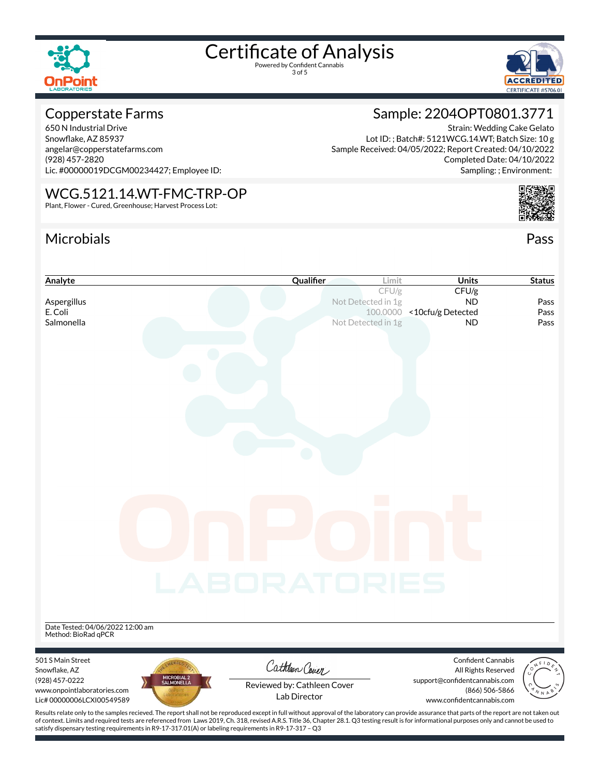

3 of 5



Sample: 2204OPT0801.3771

Lot ID: ; Batch#: 5121WCG.14.WT; Batch Size: 10 g

Sample Received: 04/05/2022; Report Created: 04/10/2022

Strain: Wedding Cake Gelato

Completed Date: 04/10/2022

#### Copperstate Farms

650 N Industrial Drive Snowflake, AZ 85937 angelar@copperstatefarms.com (928) 457-2820 Lic. #00000019DCGM00234427; Employee ID:

#### WCG.5121.14.WT-FMC-TRP-OP

Plant, Flower - Cured, Greenhouse; Harvest Process Lot:

#### Microbials Pass





of context. Limits and required tests are referenced from Laws 2019, Ch. 318, revised A.R.S. Title 36, Chapter 28.1. Q3 testing result is for informational purposes only and cannot be used to satisfy dispensary testing requirements in R9-17-317.01(A) or labeling requirements in R9-17-317 – Q3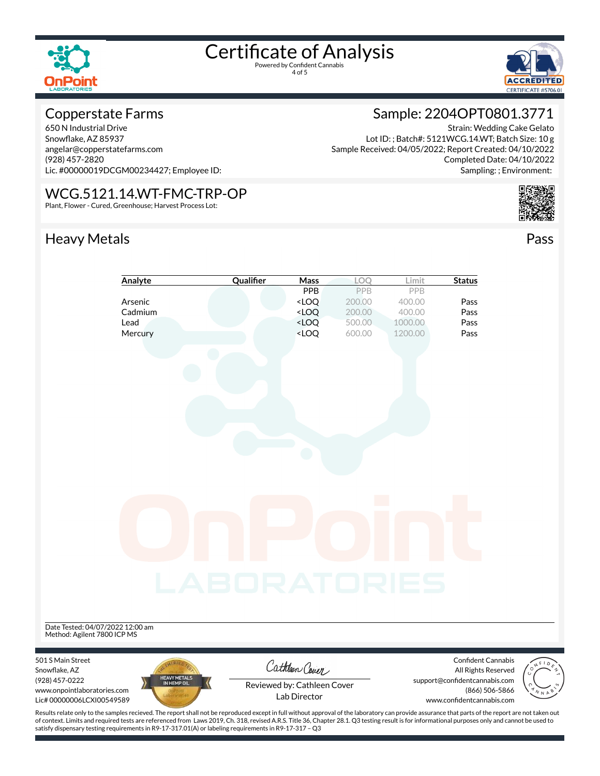

4 of 5



#### Copperstate Farms

650 N Industrial Drive Snowflake, AZ 85937 angelar@copperstatefarms.com (928) 457-2820 Lic. #00000019DCGM00234427; Employee ID:

#### WCG.5121.14.WT-FMC-TRP-OP

Plant, Flower - Cured, Greenhouse; Harvest Process Lot:

### Heavy Metals **Pass**

### Sample: 2204OPT0801.3771

Strain: Wedding Cake Gelato Lot ID: ; Batch#: 5121WCG.14.WT; Batch Size: 10 g Sample Received: 04/05/2022; Report Created: 04/10/2022 Completed Date: 04/10/2022 Sampling: ; Environment:





Results relate only to the samples recieved. The report shall not be reproduced except in full without approval of the laboratory can provide assurance that parts of the report are not taken out of context. Limits and required tests are referenced from Laws 2019, Ch. 318, revised A.R.S. Title 36, Chapter 28.1. Q3 testing result is for informational purposes only and cannot be used to satisfy dispensary testing requirements in R9-17-317.01(A) or labeling requirements in R9-17-317 – Q3